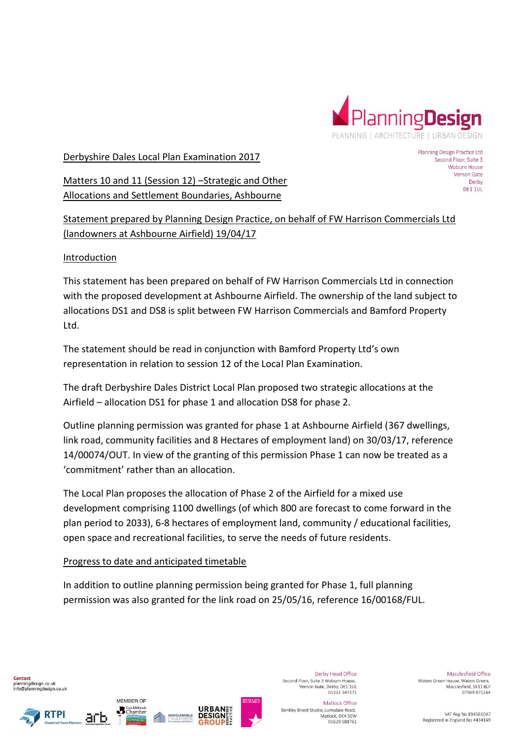

### Derbyshire Dales Local Plan Examination 2017

Matters 10 and 11 (Session 12) –Strategic and Other Allocations and Settlement Boundaries, Ashbourne

Planning Design Practice Ltd Second Floor, Suite 3 Woburn House Vernon Gate Derby DE1 1UL

Statement prepared by Planning Design Practice, on behalf of FW Harrison Commercials Ltd (landowners at Ashbourne Airfield) 19/04/17

## Introduction

This statement has been prepared on behalf of FW Harrison Commercials Ltd in connection with the proposed development at Ashbourne Airfield. The ownership of the land subject to allocations DS1 and DS8 is split between FW Harrison Commercials and Bamford Property Ltd.

The statement should be read in conjunction with Bamford Property Ltd's own representation in relation to session 12 of the Local Plan Examination.

The draft Derbyshire Dales District Local Plan proposed two strategic allocations at the Airfield – allocation DS1 for phase 1 and allocation DS8 for phase 2.

Outline planning permission was granted for phase 1 at Ashbourne Airfield (367 dwellings, link road, community facilities and 8 Hectares of employment land) on 30/03/17, reference 14/00074/OUT. In view of the granting of this permission Phase 1 can now be treated as a 'commitment' rather than an allocation.

The Local Plan proposes the allocation of Phase 2 of the Airfield for a mixed use development comprising 1100 dwellings (of which 800 are forecast to come forward in the plan period to 2033), 6-8 hectares of employment land, community / educational facilities, open space and recreational facilities, to serve the needs of future residents.

## Progress to date and anticipated timetable

In addition to outline planning permission being granted for Phase 1, full planning permission was also granted for the link road on 25/05/16, reference 16/00168/FUL.

Contact planningdesign.co.uk info@planningdesign.co.uk





**B** East Midlands



Derby Head Office Second Floor, Suite 3 Woburn House. Vernon Gate, Derby, DE1 1UL<br>01332 347371

Bentley Brook Studio, Lumsdale Road,

Matlock Office

Matlock, DE4 5EW

01629 581761

Macclesfield Office Waters Green House, Waters Green. Macclesfield, SK11 6LF 07969 871264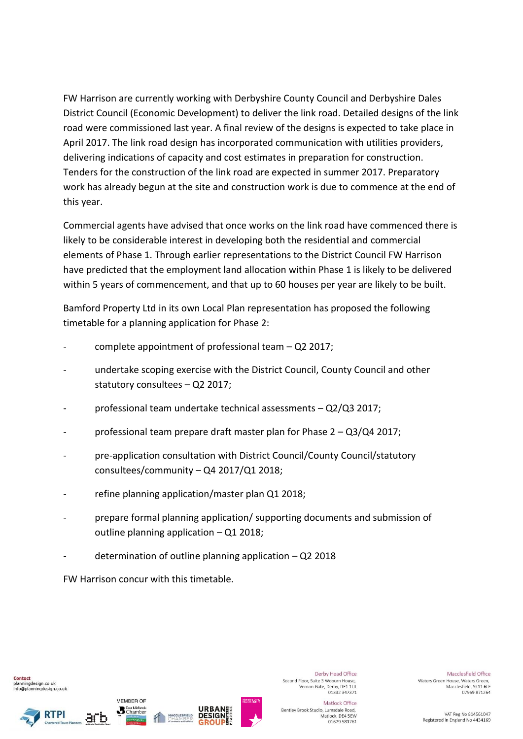FW Harrison are currently working with Derbyshire County Council and Derbyshire Dales District Council (Economic Development) to deliver the link road. Detailed designs of the link road were commissioned last year. A final review of the designs is expected to take place in April 2017. The link road design has incorporated communication with utilities providers, delivering indications of capacity and cost estimates in preparation for construction. Tenders for the construction of the link road are expected in summer 2017. Preparatory work has already begun at the site and construction work is due to commence at the end of this year.

Commercial agents have advised that once works on the link road have commenced there is likely to be considerable interest in developing both the residential and commercial elements of Phase 1. Through earlier representations to the District Council FW Harrison have predicted that the employment land allocation within Phase 1 is likely to be delivered within 5 years of commencement, and that up to 60 houses per year are likely to be built.

Bamford Property Ltd in its own Local Plan representation has proposed the following timetable for a planning application for Phase 2:

- complete appointment of professional team  $-$  Q2 2017;
- undertake scoping exercise with the District Council, County Council and other statutory consultees – Q2 2017;
- professional team undertake technical assessments Q2/Q3 2017;
- professional team prepare draft master plan for Phase 2 Q3/Q4 2017;
- pre-application consultation with District Council/County Council/statutory consultees/community – Q4 2017/Q1 2018;
- refine planning application/master plan Q1 2018;
- prepare formal planning application/ supporting documents and submission of outline planning application – Q1 2018;
- determination of outline planning application  $-$  Q2 2018

FW Harrison concur with this timetable.





MEMBER OF

**B** East Midlands



Derby Head Office Second Floor, Suite 3 Woburn House. Vernon Gate, Derby, DE1 1UL<br>01332 347371

Matlock Office Bentley Brook Studio, Lumsdale Road, Matlock, DE4 5EW 01629 581761

Macclesfield Office Waters Green House, Waters Green. Macclesfield, SK11 6LF 07969 871264